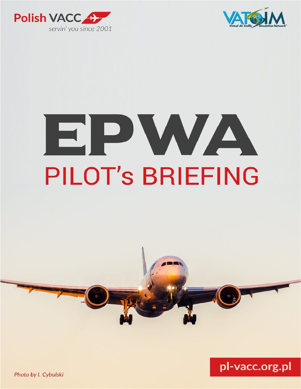



# EPWA PILOT'S BRIEFING



Photo by I. Cybulski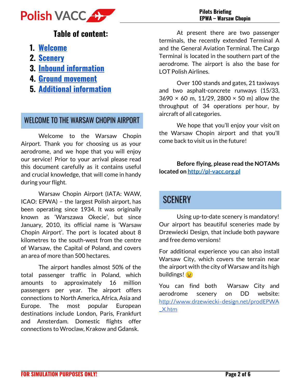

## **Table of content:**

- **1. [Welcome](#page-1-0)**
- **2. [Scenery](#page-1-1)**
- **3. Inbound [information](#page-2-0)**
- **4. Ground [movement](#page-3-0)**
- **5. Additional [information](#page-4-0)**

## <span id="page-1-0"></span>WELCOME TO THE WARSAW CHOPIN AIRPORT

Welcome to the Warsaw Chopin Airport. Thank you for choosing us as your aerodrome, and we hope that you will enjoy our service! Prior to your arrival please read this document carefully as it contains useful and crucial knowledge, that will come in handy during your flight.

Warsaw Chopin Airport (IATA: WAW, ICAO: EPWA) – the largest Polish airport, has been operating since 1934. It was originally known as 'Warszawa Okecie', but since January, 2010, its official name is 'Warsaw Chopin Airport'. The port is located about 8 kilometres to the south-west from the centre of Warsaw, the Capital of Poland, and covers an area of more than 500 hectares.

The airport handles almost 50% of the total passenger traffic in Poland, which amounts to approximately 16 million passengers per year. The airport offers connections to North America, Africa, Asia and Europe. The most popular European destinations include London, Paris, Frankfurt and Amsterdam. Domestic flights offer connections to Wroclaw, Krakow and Gdansk.

At present there are two passenger terminals, the recently extended Terminal A and the General Aviation Terminal. The Cargo Terminal is located in the southern part of the aerodrome. The airport is also the base for LOT Polish Airlines.

Over 100 stands and gates, 21 taxiways and two asphalt-concrete runways (15/33,  $3690 \times 60$  m,  $11/29$ , 2800  $\times$  50 m) allow the throughput of 34 operations per hour, by aircraft of all categories.

We hope that you'll enjoy your visit on the Warsaw Chopin airport and that you'll come back to visit us in the future!

**Before flying, please read the NOTAMs located on [http://pl-vacc.org.pl](http://pl-vacc.org.pl/)**

## <span id="page-1-1"></span>**SCENERY**

Using up-to-date scenery is mandatory! Our airport has beautiful sceneries made by Drzewiecki Design, that include both payware and free demo versions!

For additional experience you can also install Warsaw City, which covers the terrain near the airport with the city of Warsaw and its high buildings!  $\odot$ 

You can find both Warsaw City and aerodrome scenery on DD website: [http://www.drzewiecki-design.net/prodEPWA](http://www.drzewiecki-design.net/prodEPWA_X.htm) [\\_X.htm](http://www.drzewiecki-design.net/prodEPWA_X.htm)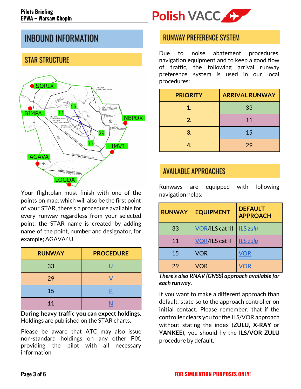## <span id="page-2-0"></span>**INBOUND INFORMATION**

## **STAR STRUCTURE**



Your flightplan must finish with one of the points on map, which will also be the first point of your STAR, there's a procedure available for every runway regardless from your selected point, the STAR name is created by adding name of the point, number and designator, for example; AGAVA4U.

| <b>RUNWAY</b> | <b>PROCEDURE</b> |
|---------------|------------------|
| 33            | U                |
| 29            |                  |
| 15            | P                |
| 11            |                  |

**During heavy traffic you can expect holdings.** Holdings are published on the STAR charts.

Please be aware that ATC may also issue non-standard holdings on any other FIX, providing the pilot with all necessary information.



## **RUNWAY PREFERENCE SYSTEM**

Due to noise abatement procedures, navigation equipment and to keep a good flow of traffic, the following arrival runway preference system is used in our local procedures:

| <b>PRIORITY</b> | <b>ARRIVAL RUNWAY</b> |
|-----------------|-----------------------|
| 1.              | 33                    |
| 2.              | 11                    |
| 3.              | 15                    |
|                 | 29                    |

## **AVAILABLE APPROACHES**

Runways are equipped with following navigation helps:

| <b>RUNWAY</b> | <b>EQUIPMENT</b>       | <b>DEFAULT</b><br><b>APPROACH</b> |
|---------------|------------------------|-----------------------------------|
| 33            | <b>VOR/ILS cat III</b> | <b>ILS</b> zulu                   |
| 11            | <b>VOR/ILS cat II</b>  | <b>ILS</b> zulu                   |
| 15            | <b>VOR</b>             | <b>VOR</b>                        |
| 29            | VOR                    | <b>VOR</b>                        |

*There's also RNAV (GNSS) approach available for each runway.*

If you want to make a different approach than default, state so to the approach controller on initial contact. Please remember, that if the controller clears you for the ILS/VOR approach without stating the index (**ZULU, X-RAY** or **YANKEE**), you should fly the **ILS/VOR ZULU** procedure by default.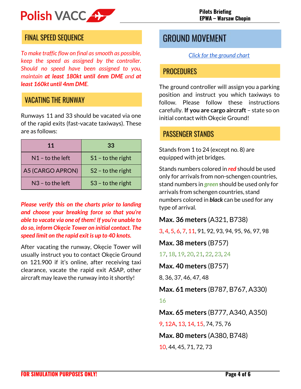

#### **FINAL SPEED SEQUENCE**

*To make traffic flow on final assmooth as possible, keep the speed as assigned by the controller. Should no speed have been assigned to you, maintain at least 180kt until 6nm DME and at least 160kt until 4nm DME.*

## **VACATING THE RUNWAY**

Runways 11 and 33 should be vacated via one of the rapid exits (fast-vacate taxiways). These are as follows:

| 11                 | 33                  |  |
|--------------------|---------------------|--|
| $N1$ – to the left | $S1$ – to the right |  |
| A5 (CARGO APRON)   | $S2$ – to the right |  |
| $N3$ – to the left | $S3$ – to the right |  |

*Please verify this on the charts prior to landing and choose your breaking force so that you're able to vacate via one of them! If you're unable to do so, inform Okęcie Tower on initial contact. The speed limit on the rapid exit is up to 40 knots.*

After vacating the runway, Okęcie Tower will usually instruct you to contact Okęcie Ground on 121.900 if it's online, after receiving taxi clearance, vacate the rapid exit ASAP, other aircraft may leave the runway into it shortly!

## <span id="page-3-0"></span>**GROUND MOVEMENT**

*Click for the [ground](http://pl-vacc.org.pl/files/maps/EPWA/DD_EPWA_charts.pdf) chart*

## **PROCEDURES**

The ground controller will assign you a parking position and instruct you which taxiways to follow. Please follow these instructions carefully. **If you are cargo aircraft** – state so on initial contact with Okęcie Ground!

## **PASSENGER STANDS**

Stands from 1 to 24 (except no. 8) are equipped with jet bridges.

Stands numbers colored in *red* should be used only for arrivals from non-schengen countries, stand numbers in *green* should be used only for arrivals from schengen countries, stand numbers colored in *black* can be used for any type of arrival.

**Max. 36 meters** (A321, B738)

3, 4, 5, 6, 7, 11, 91, 92, 93, 94, 95, 96, 97, 98

**Max. 38 meters** (B757)

17, 18, 19, 20, 21, 22, 23, 24

**Max. 40 meters** (B757)

8, 36, 37, 46, 47, 48

**Max. 61 meters** (B787, B767, A330)

16

**Max. 65 meters** (B777, A340, A350)

9, 12A, 13, 14, 15, 74, 75, 76

**Max. 80 meters** (A380, B748)

10, 44, 45, 71, 72, 73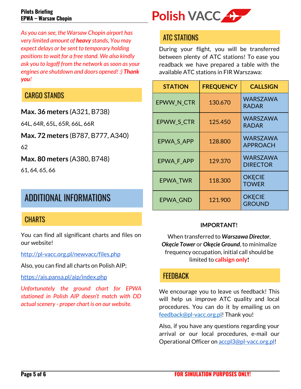*As you can see, the Warsaw Chopin airport has very limited amount of heavy stands, You may expect delays or be sent to temporary holding positionsto wait for a free stand. We also kindly ask you to logoff from the network assoon as your engines are shutdown and doors opened! :) Thank you!*

## **CARGO STANDS**

**Max. 36 meters** (A321, B738)

64L, 64R, 65L, 65R, 66L, 66R

**Max. 72 meters** (B787, B777, A340)

62

**Max. 80 meters** (A380, B748)

61, 64, 65, 66

## <span id="page-4-0"></span>**ADDITIONAL INFORMATIONS**

## **CHARTS**

You can find all significant charts and files on our website!

<http://pl-vacc.org.pl/newvacc/files.php>

Also, you can find all charts on Polish AIP;

<https://ais.pansa.pl/aip/index.php>

*Unfortunately the ground chart for EPWA stationed in Polish AIP doesn't match with DD actualscenery - proper chart is on our website.*



## **ATC STATIONS**

During your flight, you will be transferred between plenty of ATC stations! To ease you readback we have prepared a table with the available ATC stations in FIR Warszawa:

| <b>STATION</b>    | <b>FREQUENCY</b> | <b>CALLSIGN</b>                    |
|-------------------|------------------|------------------------------------|
| <b>EPWW N CTR</b> | 130.670          | <b>WARSZAWA</b><br>RADAR           |
| <b>EPWW_S_CTR</b> | 125.450          | <b>WARSZAWA</b><br><b>RADAR</b>    |
| <b>EPWA S APP</b> | 128.800          | <b>WARSZAWA</b><br><b>APPROACH</b> |
| <b>EPWA F APP</b> | 129.370          | <b>WARSZAWA</b><br><b>DIRECTOR</b> |
| <b>EPWA TWR</b>   | 118.300          | <b>OKECIE</b><br><b>TOWER</b>      |
| <b>EPWA GND</b>   | 121.900          | <b>OKECIE</b><br><b>GROUND</b>     |

#### **IMPORTANT!**

When transferred to *Warszawa Director*, *Okęcie Tower* or *Okęcie Ground*, to minimalize frequency occupation, initial call should be limited to **callsign only!**

## **FEEDBACK**

We encourage you to leave us feedback! This will help us improve ATC quality and local procedures. You can do it by emailing us on [feedback@pl-vacc.org.pl!](mailto:feedback@pl-vacc.org.pl) Thank you!

Also, if you have any questions regarding your arrival or our local procedures, e-mail our Operational Officer on [accpl3@pl-vacc.org.pl!](mailto:accpl3@pl-vacc.org.pl)